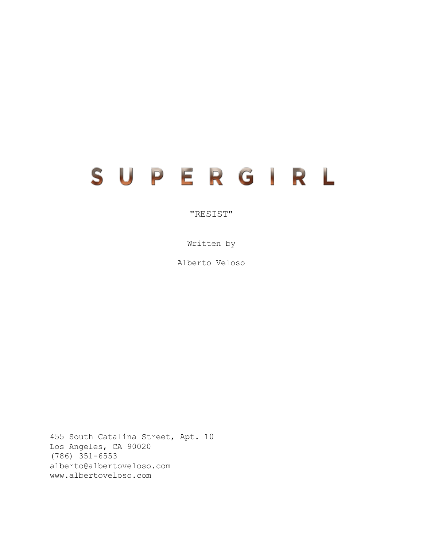# SUPERGIRL

# "RESIST"

Written by

Alberto Veloso

455 South Catalina Street, Apt. 10 Los Angeles, CA 90020 (786) 351-6553 alberto@albertoveloso.com www.albertoveloso.com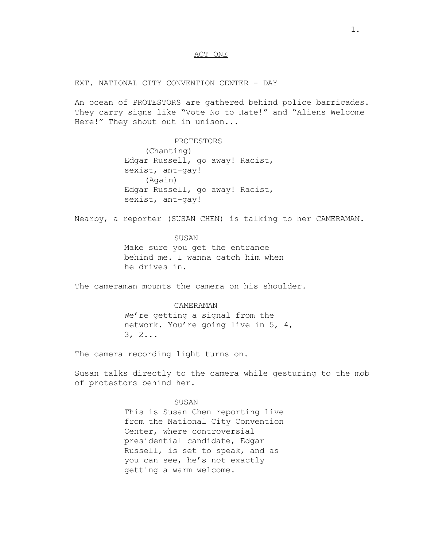## ACT ONE

EXT. NATIONAL CITY CONVENTION CENTER - DAY

An ocean of PROTESTORS are gathered behind police barricades. They carry signs like "Vote No to Hate!" and "Aliens Welcome Here!" They shout out in unison...

> PROTESTORS (Chanting) Edgar Russell, go away! Racist, sexist, ant-gay! (Again) Edgar Russell, go away! Racist, sexist, ant-gay!

Nearby, a reporter (SUSAN CHEN) is talking to her CAMERAMAN.

SUSAN

Make sure you get the entrance behind me. I wanna catch him when he drives in.

The cameraman mounts the camera on his shoulder.

#### CAMERAMAN

We're getting a signal from the network. You're going live in 5, 4, 3, 2...

The camera recording light turns on.

Susan talks directly to the camera while gesturing to the mob of protestors behind her.

### SUSAN

This is Susan Chen reporting live from the National City Convention Center, where controversial presidential candidate, Edgar Russell, is set to speak, and as you can see, he's not exactly getting a warm welcome.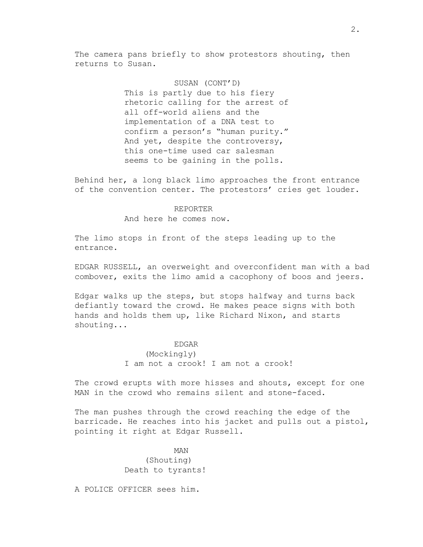The camera pans briefly to show protestors shouting, then returns to Susan.

> SUSAN (CONT'D) This is partly due to his fiery rhetoric calling for the arrest of all off-world aliens and the implementation of a DNA test to confirm a person's "human purity." And yet, despite the controversy, this one-time used car salesman seems to be gaining in the polls.

Behind her, a long black limo approaches the front entrance of the convention center. The protestors' cries get louder.

#### REPORTER

And here he comes now.

The limo stops in front of the steps leading up to the entrance.

EDGAR RUSSELL, an overweight and overconfident man with a bad combover, exits the limo amid a cacophony of boos and jeers.

Edgar walks up the steps, but stops halfway and turns back defiantly toward the crowd. He makes peace signs with both hands and holds them up, like Richard Nixon, and starts shouting...

#### EDGAR

(Mockingly) I am not a crook! I am not a crook!

The crowd erupts with more hisses and shouts, except for one MAN in the crowd who remains silent and stone-faced.

The man pushes through the crowd reaching the edge of the barricade. He reaches into his jacket and pulls out a pistol, pointing it right at Edgar Russell.

> MAN (Shouting) Death to tyrants!

A POLICE OFFICER sees him.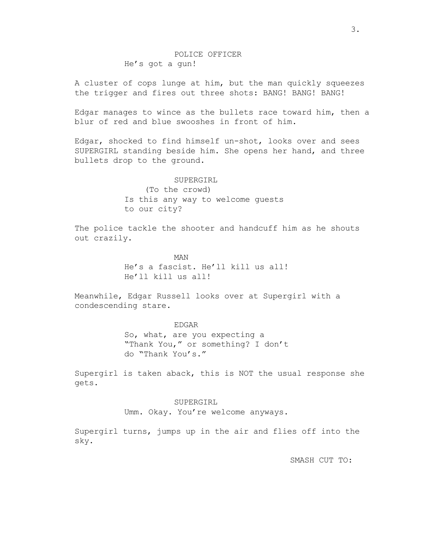# POLICE OFFICER He's got a gun!

A cluster of cops lunge at him, but the man quickly squeezes the trigger and fires out three shots: BANG! BANG! BANG!

Edgar manages to wince as the bullets race toward him, then a blur of red and blue swooshes in front of him.

Edgar, shocked to find himself un-shot, looks over and sees SUPERGIRL standing beside him. She opens her hand, and three bullets drop to the ground.

> SUPERGIRL (To the crowd) Is this any way to welcome guests to our city?

The police tackle the shooter and handcuff him as he shouts out crazily.

> MAN He's a fascist. He'll kill us all! He'll kill us all!

Meanwhile, Edgar Russell looks over at Supergirl with a condescending stare.

> EDGAR So, what, are you expecting a "Thank You," or something? I don't do "Thank You's."

Supergirl is taken aback, this is NOT the usual response she gets.

> SUPERGIRL Umm. Okay. You're welcome anyways.

Supergirl turns, jumps up in the air and flies off into the sky.

SMASH CUT TO: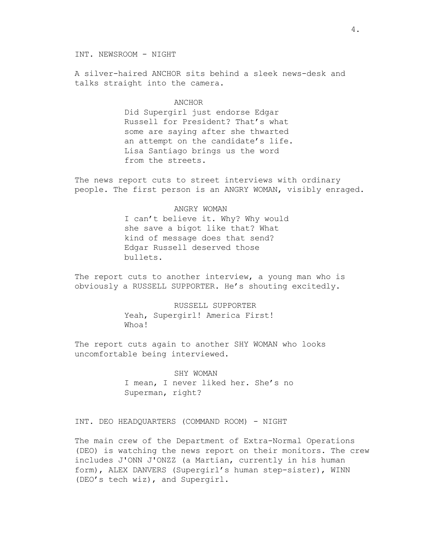INT. NEWSROOM - NIGHT

A silver-haired ANCHOR sits behind a sleek news-desk and talks straight into the camera.

#### ANCHOR

Did Supergirl just endorse Edgar Russell for President? That's what some are saying after she thwarted an attempt on the candidate's life. Lisa Santiago brings us the word from the streets.

The news report cuts to street interviews with ordinary people. The first person is an ANGRY WOMAN, visibly enraged.

## ANGRY WOMAN

I can't believe it. Why? Why would she save a bigot like that? What kind of message does that send? Edgar Russell deserved those bullets.

The report cuts to another interview, a young man who is obviously a RUSSELL SUPPORTER. He's shouting excitedly.

> RUSSELL SUPPORTER Yeah, Supergirl! America First! Whoa!

The report cuts again to another SHY WOMAN who looks uncomfortable being interviewed.

> SHY WOMAN I mean, I never liked her. She's no Superman, right?

INT. DEO HEADQUARTERS (COMMAND ROOM) - NIGHT

The main crew of the Department of Extra-Normal Operations (DEO) is watching the news report on their monitors. The crew includes J'ONN J'ONZZ (a Martian, currently in his human form), ALEX DANVERS (Supergirl's human step-sister), WINN (DEO's tech wiz), and Supergirl.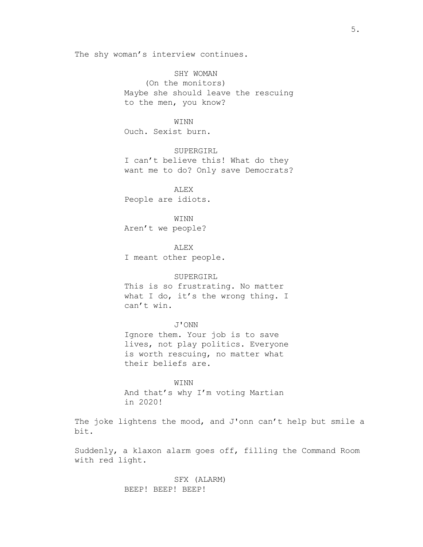The shy woman's interview continues.

SHY WOMAN (On the monitors) Maybe she should leave the rescuing to the men, you know?

WINN Ouch. Sexist burn.

SUPERGIRL I can't believe this! What do they want me to do? Only save Democrats?

ALEX People are idiots.

WINN Aren't we people?

ALEX I meant other people.

#### SUPERGIRL

This is so frustrating. No matter what I do, it's the wrong thing. I can't win.

J'ONN Ignore them. Your job is to save lives, not play politics. Everyone is worth rescuing, no matter what their beliefs are.

WINN And that's why I'm voting Martian in 2020!

The joke lightens the mood, and J'onn can't help but smile a bit.

Suddenly, a klaxon alarm goes off, filling the Command Room with red light.

> SFX (ALARM) BEEP! BEEP! BEEP!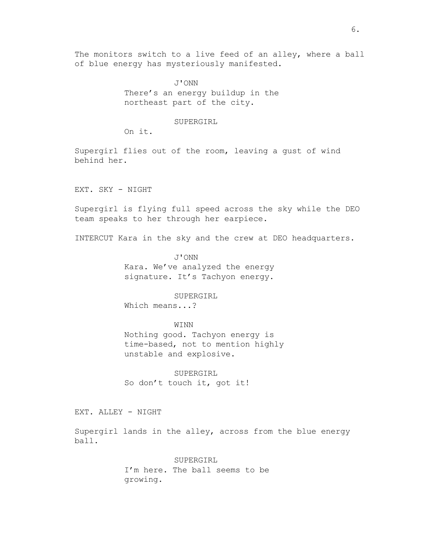The monitors switch to a live feed of an alley, where a ball of blue energy has mysteriously manifested.

> J'ONN There's an energy buildup in the northeast part of the city.

## SUPERGIRL

On it.

Supergirl flies out of the room, leaving a gust of wind behind her.

EXT. SKY - NIGHT

Supergirl is flying full speed across the sky while the DEO team speaks to her through her earpiece.

INTERCUT Kara in the sky and the crew at DEO headquarters.

J'ONN Kara. We've analyzed the energy signature. It's Tachyon energy.

## SUPERGIRL

Which means...?

#### WINN

Nothing good. Tachyon energy is time-based, not to mention highly unstable and explosive.

SUPERGIRL So don't touch it, got it!

EXT. ALLEY - NIGHT

Supergirl lands in the alley, across from the blue energy ball.

> SUPERGIRL I'm here. The ball seems to be growing.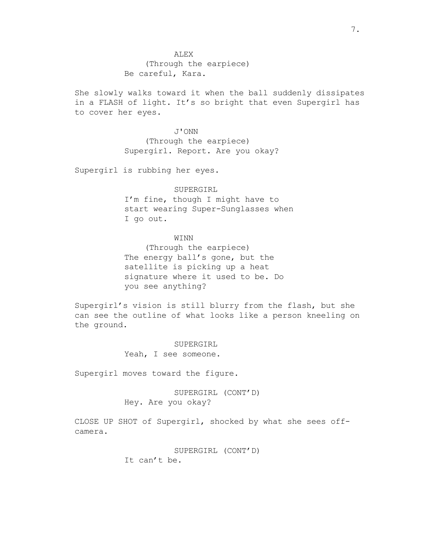She slowly walks toward it when the ball suddenly dissipates in a FLASH of light. It's so bright that even Supergirl has to cover her eyes.

> J'ONN (Through the earpiece) Supergirl. Report. Are you okay?

Supergirl is rubbing her eyes.

## SUPERGIRL

I'm fine, though I might have to start wearing Super-Sunglasses when I go out.

## WINN

(Through the earpiece) The energy ball's gone, but the satellite is picking up a heat signature where it used to be. Do you see anything?

Supergirl's vision is still blurry from the flash, but she can see the outline of what looks like a person kneeling on the ground.

> SUPERGIRL Yeah, I see someone.

Supergirl moves toward the figure.

SUPERGIRL (CONT'D) Hey. Are you okay?

CLOSE UP SHOT of Supergirl, shocked by what she sees offcamera.

> SUPERGIRL (CONT'D) It can't be.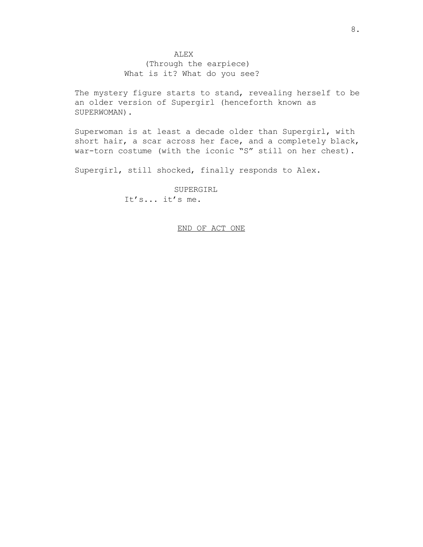## ALEX

(Through the earpiece) What is it? What do you see?

The mystery figure starts to stand, revealing herself to be an older version of Supergirl (henceforth known as SUPERWOMAN).

Superwoman is at least a decade older than Supergirl, with short hair, a scar across her face, and a completely black, war-torn costume (with the iconic "S" still on her chest).

Supergirl, still shocked, finally responds to Alex.

SUPERGIRL It's... it's me.

## END OF ACT ONE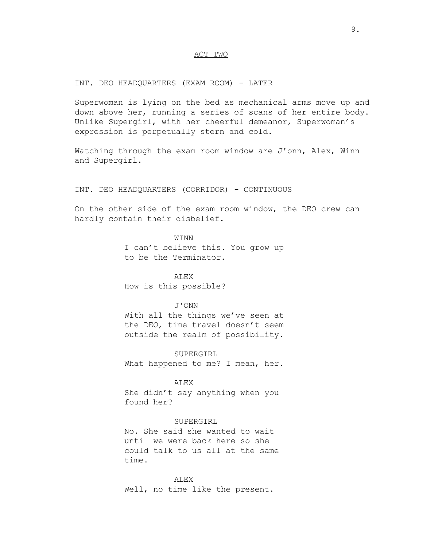## ACT TWO

INT. DEO HEADQUARTERS (EXAM ROOM) - LATER

Superwoman is lying on the bed as mechanical arms move up and down above her, running a series of scans of her entire body. Unlike Supergirl, with her cheerful demeanor, Superwoman's expression is perpetually stern and cold.

Watching through the exam room window are J'onn, Alex, Winn and Supergirl.

## INT. DEO HEADQUARTERS (CORRIDOR) - CONTINUOUS

On the other side of the exam room window, the DEO crew can hardly contain their disbelief.

> WINN I can't believe this. You grow up to be the Terminator.

ALEX How is this possible?

#### J'ONN

With all the things we've seen at the DEO, time travel doesn't seem outside the realm of possibility.

SUPERGIRL What happened to me? I mean, her.

#### ALEX

She didn't say anything when you found her?

## SUPERGIRL

No. She said she wanted to wait until we were back here so she could talk to us all at the same time.

ALEX Well, no time like the present.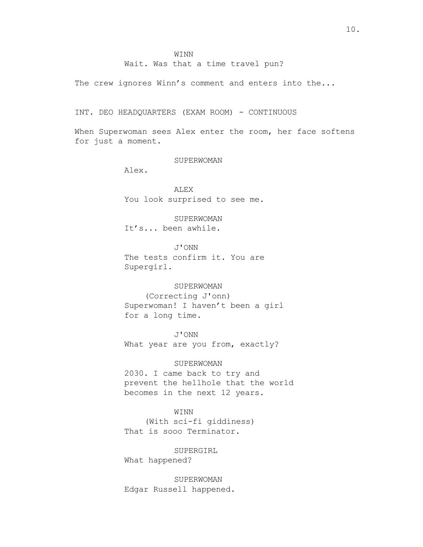Wait. Was that a time travel pun?

The crew ignores Winn's comment and enters into the...

INT. DEO HEADQUARTERS (EXAM ROOM) - CONTINUOUS

When Superwoman sees Alex enter the room, her face softens for just a moment.

SUPERWOMAN

Alex.

ALEX You look surprised to see me.

SUPERWOMAN It's... been awhile.

J'ONN The tests confirm it. You are Supergirl.

#### SUPERWOMAN

(Correcting J'onn) Superwoman! I haven't been a girl for a long time.

J'ONN What year are you from, exactly?

SUPERWOMAN

2030. I came back to try and prevent the hellhole that the world becomes in the next 12 years.

## WINN

(With sci-fi giddiness) That is sooo Terminator.

SUPERGIRL What happened?

SUPERWOMAN Edgar Russell happened.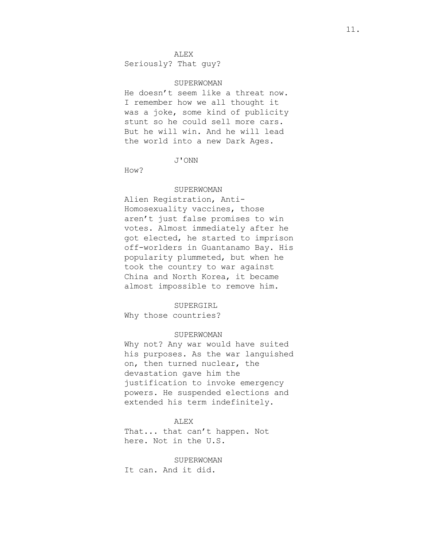## ALEX

Seriously? That guy?

#### SUPERWOMAN

He doesn't seem like a threat now. I remember how we all thought it was a joke, some kind of publicity stunt so he could sell more cars. But he will win. And he will lead the world into a new Dark Ages.

J'ONN

How?

#### SUPERWOMAN

Alien Registration, Anti-Homosexuality vaccines, those aren't just false promises to win votes. Almost immediately after he got elected, he started to imprison off-worlders in Guantanamo Bay. His popularity plummeted, but when he took the country to war against China and North Korea, it became almost impossible to remove him.

#### SUPERGIRL

Why those countries?

#### SUPERWOMAN

Why not? Any war would have suited his purposes. As the war languished on, then turned nuclear, the devastation gave him the justification to invoke emergency powers. He suspended elections and extended his term indefinitely.

#### ALEX

That... that can't happen. Not here. Not in the U.S.

SUPERWOMAN It can. And it did.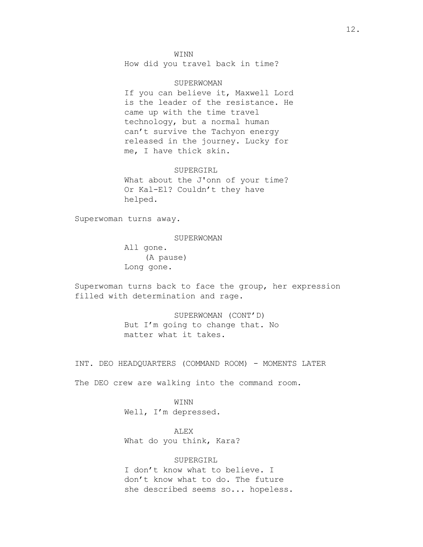#### WINN

How did you travel back in time?

#### SUPERWOMAN

If you can believe it, Maxwell Lord is the leader of the resistance. He came up with the time travel technology, but a normal human can't survive the Tachyon energy released in the journey. Lucky for me, I have thick skin.

#### SUPERGIRL

What about the J'onn of your time? Or Kal-El? Couldn't they have helped.

Superwoman turns away.

#### SUPERWOMAN

All gone. (A pause) Long gone.

Superwoman turns back to face the group, her expression filled with determination and rage.

> SUPERWOMAN (CONT'D) But I'm going to change that. No matter what it takes.

INT. DEO HEADQUARTERS (COMMAND ROOM) - MOMENTS LATER

The DEO crew are walking into the command room.

WINN Well, I'm depressed.

ALEX What do you think, Kara?

## SUPERGIRL

I don't know what to believe. I don't know what to do. The future she described seems so... hopeless.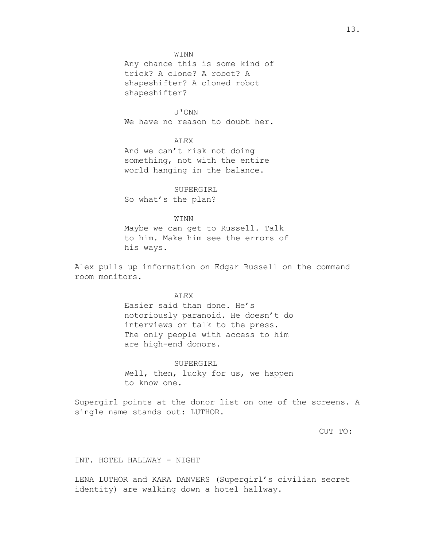## WINN

Any chance this is some kind of trick? A clone? A robot? A shapeshifter? A cloned robot shapeshifter?

J'ONN We have no reason to doubt her.

# ALEX

And we can't risk not doing something, not with the entire world hanging in the balance.

#### SUPERGIRL

So what's the plan?

#### WINN

Maybe we can get to Russell. Talk to him. Make him see the errors of his ways.

Alex pulls up information on Edgar Russell on the command room monitors.

## **ALEX**

Easier said than done. He's notoriously paranoid. He doesn't do interviews or talk to the press. The only people with access to him are high-end donors.

SUPERGIRL Well, then, lucky for us, we happen to know one.

Supergirl points at the donor list on one of the screens. A single name stands out: LUTHOR.

CUT TO:

INT. HOTEL HALLWAY - NIGHT

LENA LUTHOR and KARA DANVERS (Supergirl's civilian secret identity) are walking down a hotel hallway.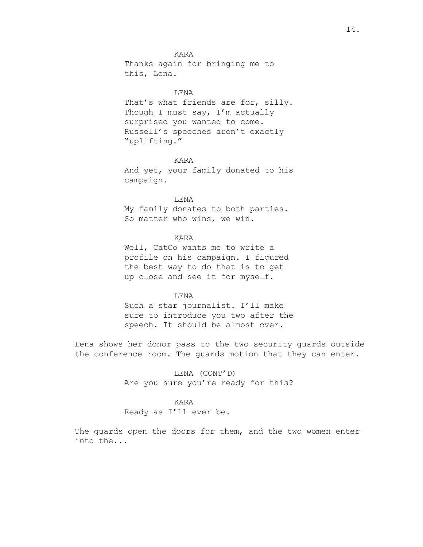## KARA

Thanks again for bringing me to this, Lena.

## LENA

That's what friends are for, silly. Though I must say, I'm actually surprised you wanted to come. Russell's speeches aren't exactly "uplifting."

## KARA

And yet, your family donated to his campaign.

## LENA

My family donates to both parties. So matter who wins, we win.

## KARA

Well, CatCo wants me to write a profile on his campaign. I figured the best way to do that is to get up close and see it for myself.

## LENA

Such a star journalist. I'll make sure to introduce you two after the speech. It should be almost over.

Lena shows her donor pass to the two security guards outside the conference room. The guards motion that they can enter.

> LENA (CONT'D) Are you sure you're ready for this?

# KARA

Ready as I'll ever be.

The guards open the doors for them, and the two women enter into the...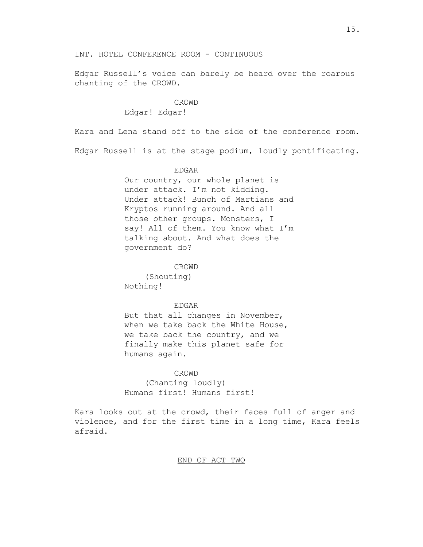Edgar Russell's voice can barely be heard over the roarous chanting of the CROWD.

## CROWD

Edgar! Edgar!

Kara and Lena stand off to the side of the conference room.

Edgar Russell is at the stage podium, loudly pontificating.

## EDGAR

Our country, our whole planet is under attack. I'm not kidding. Under attack! Bunch of Martians and Kryptos running around. And all those other groups. Monsters, I say! All of them. You know what I'm talking about. And what does the government do?

CROWD

(Shouting) Nothing!

#### EDGAR

But that all changes in November, when we take back the White House, we take back the country, and we finally make this planet safe for humans again.

## CROWD

(Chanting loudly) Humans first! Humans first!

Kara looks out at the crowd, their faces full of anger and violence, and for the first time in a long time, Kara feels afraid.

## END OF ACT TWO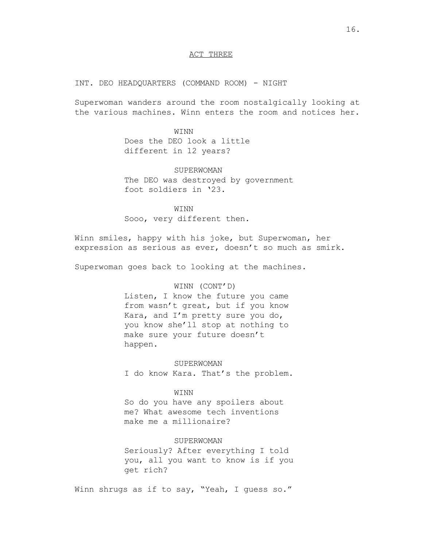## ACT THREE

## INT. DEO HEADQUARTERS (COMMAND ROOM) - NIGHT

Superwoman wanders around the room nostalgically looking at the various machines. Winn enters the room and notices her.

#### WINN

Does the DEO look a little different in 12 years?

#### SUPERWOMAN

The DEO was destroyed by government foot soldiers in '23.

WINN Sooo, very different then.

Winn smiles, happy with his joke, but Superwoman, her expression as serious as ever, doesn't so much as smirk.

Superwoman goes back to looking at the machines.

#### WINN (CONT'D)

Listen, I know the future you came from wasn't great, but if you know Kara, and I'm pretty sure you do, you know she'll stop at nothing to make sure your future doesn't happen.

SUPERWOMAN

I do know Kara. That's the problem.

#### WINN

So do you have any spoilers about me? What awesome tech inventions make me a millionaire?

## SUPERWOMAN

Seriously? After everything I told you, all you want to know is if you get rich?

Winn shrugs as if to say, "Yeah, I guess so."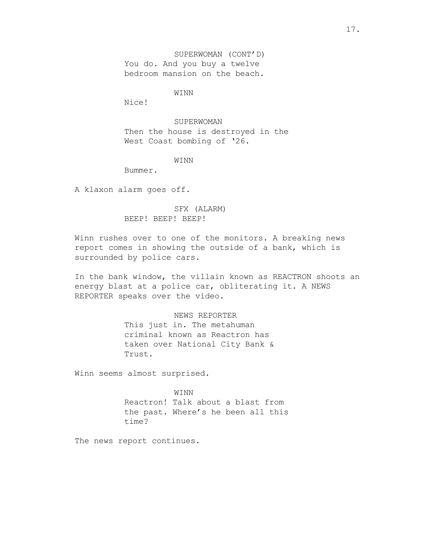SUPERWOMAN (CONT'D) You do. And you buy a twelve bedroom mansion on the beach.

WINN

Nice!

SUPERWOMAN Then the house is destroyed in the West Coast bombing of '26.

WINN

Bummer.

A klaxon alarm goes off.

# SFX (ALARM) BEEP! BEEP! BEEP!

Winn rushes over to one of the monitors. A breaking news report comes in showing the outside of a bank, which is surrounded by police cars.

In the bank window, the villain known as REACTRON shoots an energy blast at a police car, obliterating it. A NEWS REPORTER speaks over the video.

## NEWS REPORTER

This just in. The metahuman criminal known as Reactron has taken over National City Bank & Trust.

Winn seems almost surprised.

WINN Reactron! Talk about a blast from the past. Where's he been all this time?

The news report continues.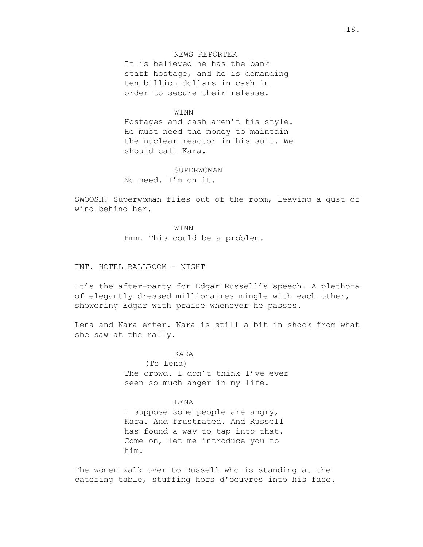# NEWS REPORTER

It is believed he has the bank staff hostage, and he is demanding ten billion dollars in cash in order to secure their release.

#### **WINN**

Hostages and cash aren't his style. He must need the money to maintain the nuclear reactor in his suit. We should call Kara.

#### **SUPERWOMAN**

No need. I'm on it.

SWOOSH! Superwoman flies out of the room, leaving a gust of wind behind her.

> WINN Hmm. This could be a problem.

INT. HOTEL BALLROOM - NIGHT

It's the after-party for Edgar Russell's speech. A plethora of elegantly dressed millionaires mingle with each other, showering Edgar with praise whenever he passes.

Lena and Kara enter. Kara is still a bit in shock from what she saw at the rally.

## KARA

(To Lena) The crowd. I don't think I've ever seen so much anger in my life.

### LENA

I suppose some people are angry, Kara. And frustrated. And Russell has found a way to tap into that. Come on, let me introduce you to him.

The women walk over to Russell who is standing at the catering table, stuffing hors d'oeuvres into his face.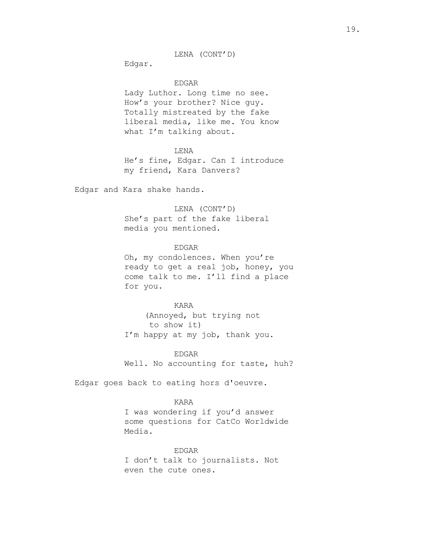LENA (CONT'D)

Edgar.

EDGAR

Lady Luthor. Long time no see. How's your brother? Nice guy. Totally mistreated by the fake liberal media, like me. You know what I'm talking about.

#### LENA

He's fine, Edgar. Can I introduce my friend, Kara Danvers?

Edgar and Kara shake hands.

# LENA (CONT'D)

She's part of the fake liberal media you mentioned.

## EDGAR

Oh, my condolences. When you're ready to get a real job, honey, you come talk to me. I'll find a place for you.

#### KARA

(Annoyed, but trying not to show it) I'm happy at my job, thank you.

EDGAR

Well. No accounting for taste, huh?

Edgar goes back to eating hors d'oeuvre.

## KARA

I was wondering if you'd answer some questions for CatCo Worldwide Media.

EDGAR

I don't talk to journalists. Not even the cute ones.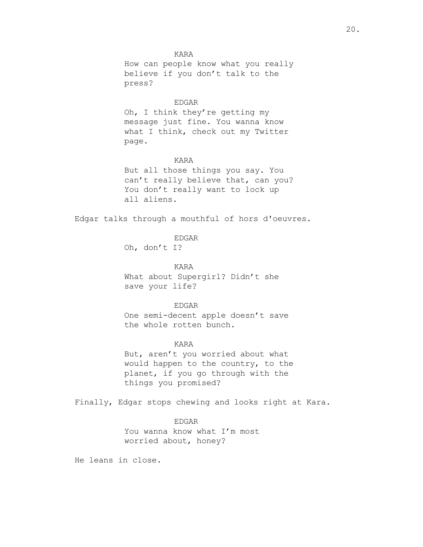KARA How can people know what you really believe if you don't talk to the press?

#### EDGAR

Oh, I think they're getting my message just fine. You wanna know what I think, check out my Twitter page.

## KARA

But all those things you say. You can't really believe that, can you? You don't really want to lock up all aliens.

Edgar talks through a mouthful of hors d'oeuvres.

EDGAR

Oh, don't I?

KARA What about Supergirl? Didn't she save your life?

EDGAR

One semi-decent apple doesn't save the whole rotten bunch.

KARA

But, aren't you worried about what would happen to the country, to the planet, if you go through with the things you promised?

Finally, Edgar stops chewing and looks right at Kara.

## EDGAR

You wanna know what I'm most worried about, honey?

He leans in close.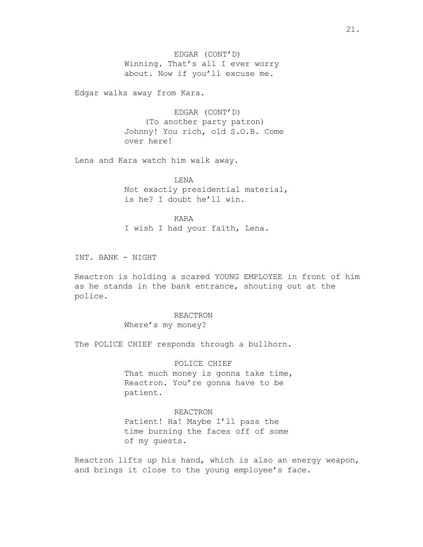EDGAR (CONT'D) Winning. That's all I ever worry about. Now if you'll excuse me.

Edgar walks away from Kara.

EDGAR (CONT'D) (To another party patron) Johnny! You rich, old S.O.B. Come over here!

Lena and Kara watch him walk away.

LENA Not exactly presidential material, is he? I doubt he'll win.

KARA I wish I had your faith, Lena.

INT. BANK - NIGHT

Reactron is holding a scared YOUNG EMPLOYEE in front of him as he stands in the bank entrance, shouting out at the police.

#### REACTRON

Where's my money?

The POLICE CHIEF responds through a bullhorn.

## POLICE CHIEF

That much money is gonna take time, Reactron. You're gonna have to be patient.

## REACTRON

Patient! Ha! Maybe I'll pass the time burning the faces off of some of my guests.

Reactron lifts up his hand, which is also an energy weapon, and brings it close to the young employee's face.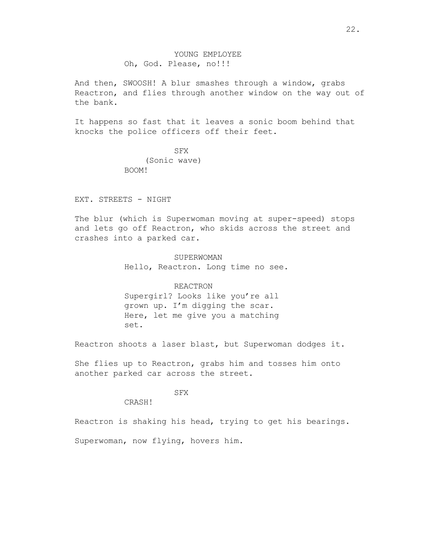And then, SWOOSH! A blur smashes through a window, grabs Reactron, and flies through another window on the way out of the bank.

It happens so fast that it leaves a sonic boom behind that knocks the police officers off their feet.

> SFX (Sonic wave) BOOM!

## EXT. STREETS - NIGHT

The blur (which is Superwoman moving at super-speed) stops and lets go off Reactron, who skids across the street and crashes into a parked car.

> SUPERWOMAN Hello, Reactron. Long time no see.

REACTRON Supergirl? Looks like you're all grown up. I'm digging the scar. Here, let me give you a matching set.

Reactron shoots a laser blast, but Superwoman dodges it.

She flies up to Reactron, grabs him and tosses him onto another parked car across the street.

# SFX

CRASH!

Reactron is shaking his head, trying to get his bearings.

Superwoman, now flying, hovers him.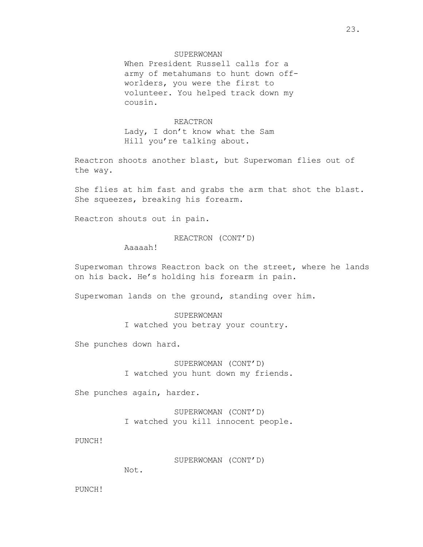## SUPERWOMAN

When President Russell calls for a army of metahumans to hunt down offworlders, you were the first to volunteer. You helped track down my cousin.

## REACTRON

Lady, I don't know what the Sam Hill you're talking about.

Reactron shoots another blast, but Superwoman flies out of the way.

She flies at him fast and grabs the arm that shot the blast. She squeezes, breaking his forearm.

Reactron shouts out in pain.

REACTRON (CONT'D)

Aaaaah!

Superwoman throws Reactron back on the street, where he lands on his back. He's holding his forearm in pain.

Superwoman lands on the ground, standing over him.

SUPERWOMAN I watched you betray your country.

She punches down hard.

SUPERWOMAN (CONT'D) I watched you hunt down my friends.

She punches again, harder.

SUPERWOMAN (CONT'D) I watched you kill innocent people.

PUNCH!

SUPERWOMAN (CONT'D)

Not.

PUNCH!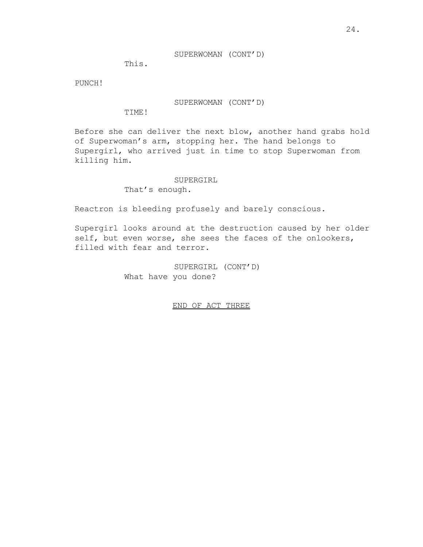## SUPERWOMAN (CONT'D)

This.

PUNCH!

SUPERWOMAN (CONT'D)

TIME!

Before she can deliver the next blow, another hand grabs hold of Superwoman's arm, stopping her. The hand belongs to Supergirl, who arrived just in time to stop Superwoman from killing him.

## SUPERGIRL

That's enough.

Reactron is bleeding profusely and barely conscious.

Supergirl looks around at the destruction caused by her older self, but even worse, she sees the faces of the onlookers, filled with fear and terror.

> SUPERGIRL (CONT'D) What have you done?

> > END OF ACT THREE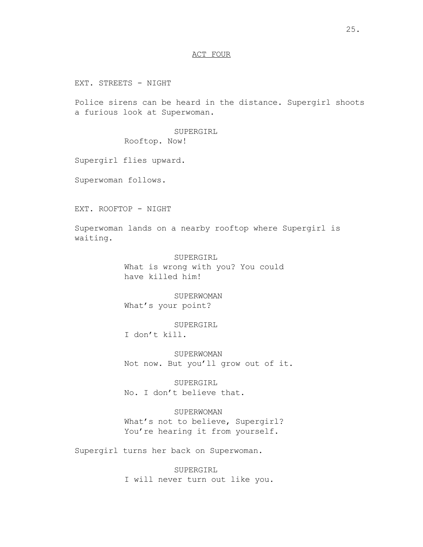# ACT FOUR

EXT. STREETS - NIGHT

Police sirens can be heard in the distance. Supergirl shoots a furious look at Superwoman.

SUPERGIRL

Rooftop. Now!

Supergirl flies upward.

Superwoman follows.

EXT. ROOFTOP - NIGHT

Superwoman lands on a nearby rooftop where Supergirl is waiting.

> SUPERGIRL What is wrong with you? You could have killed him!

SUPERWOMAN What's your point?

SUPERGIRL

I don't kill.

SUPERWOMAN Not now. But you'll grow out of it.

SUPERGIRL No. I don't believe that.

SUPERWOMAN

What's not to believe, Supergirl? You're hearing it from yourself.

Supergirl turns her back on Superwoman.

SUPERGIRL I will never turn out like you.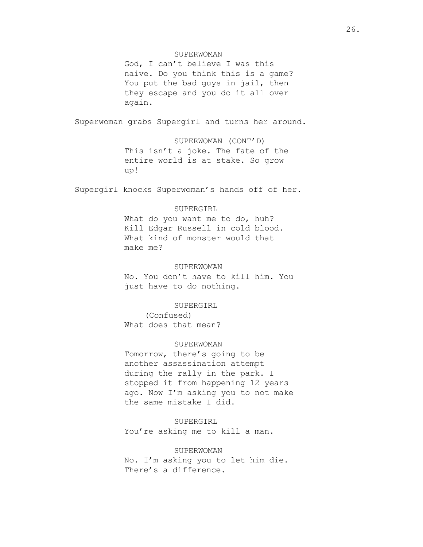# SUPERWOMAN

God, I can't believe I was this naive. Do you think this is a game? You put the bad guys in jail, then they escape and you do it all over again.

Superwoman grabs Supergirl and turns her around.

SUPERWOMAN (CONT'D) This isn't a joke. The fate of the entire world is at stake. So grow up!

Supergirl knocks Superwoman's hands off of her.

## SUPERGIRL

What do you want me to do, huh? Kill Edgar Russell in cold blood. What kind of monster would that make me?

# SUPERWOMAN

No. You don't have to kill him. You just have to do nothing.

#### SUPERGIRL

(Confused) What does that mean?

## SUPERWOMAN

Tomorrow, there's going to be another assassination attempt during the rally in the park. I stopped it from happening 12 years ago. Now I'm asking you to not make the same mistake I did.

# SUPERGIRL

You're asking me to kill a man.

#### SUPERWOMAN

No. I'm asking you to let him die. There's a difference.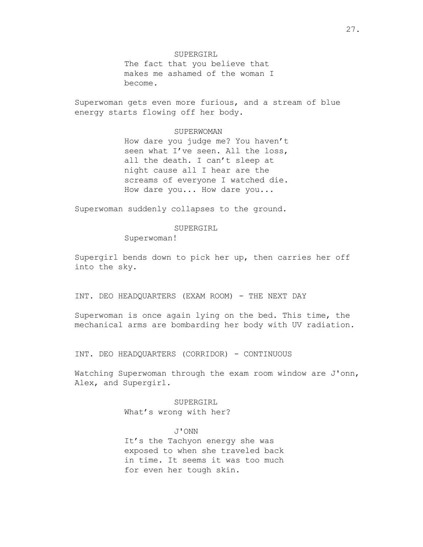SUPERGIRL The fact that you believe that makes me ashamed of the woman I become.

Superwoman gets even more furious, and a stream of blue energy starts flowing off her body.

#### SUPERWOMAN

How dare you judge me? You haven't seen what I've seen. All the loss, all the death. I can't sleep at night cause all I hear are the screams of everyone I watched die. How dare you... How dare you...

Superwoman suddenly collapses to the ground.

#### SUPERGIRL

Superwoman!

Supergirl bends down to pick her up, then carries her off into the sky.

INT. DEO HEADQUARTERS (EXAM ROOM) - THE NEXT DAY

Superwoman is once again lying on the bed. This time, the mechanical arms are bombarding her body with UV radiation.

INT. DEO HEADQUARTERS (CORRIDOR) - CONTINUOUS

Watching Superwoman through the exam room window are J'onn, Alex, and Supergirl.

> SUPERGIRL What's wrong with her?

> > J'ONN

It's the Tachyon energy she was exposed to when she traveled back in time. It seems it was too much for even her tough skin.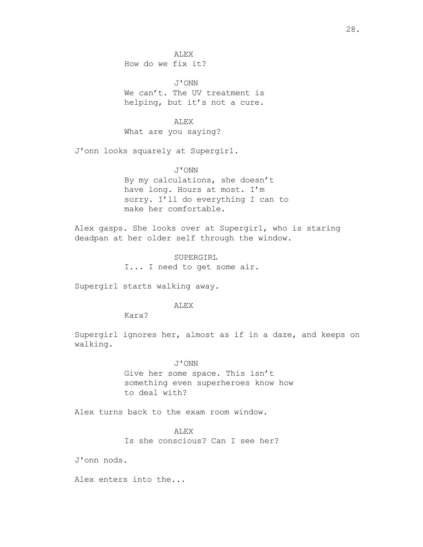ALEX How do we fix it?

J'ONN We can't. The UV treatment is helping, but it's not a cure.

## ALEX

What are you saying?

J'onn looks squarely at Supergirl.

#### J'ONN

By my calculations, she doesn't have long. Hours at most. I'm sorry. I'll do everything I can to make her comfortable.

Alex gasps. She looks over at Supergirl, who is staring deadpan at her older self through the window.

> SUPERGIRL I... I need to get some air.

Supergirl starts walking away.

## ALEX

Kara?

Supergirl ignores her, almost as if in a daze, and keeps on walking.

#### J'ONN

Give her some space. This isn't something even superheroes know how to deal with?

Alex turns back to the exam room window.

## ALEX

Is she conscious? Can I see her?

J'onn nods.

Alex enters into the...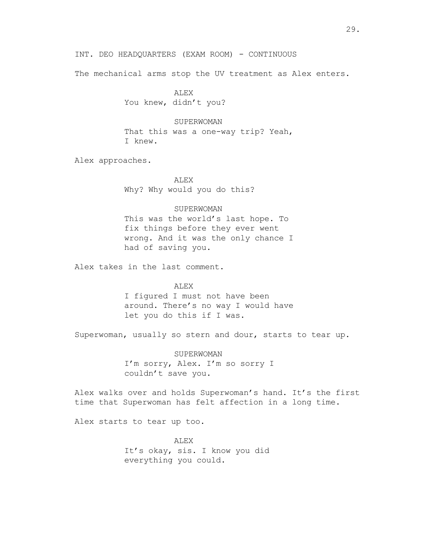INT. DEO HEADQUARTERS (EXAM ROOM) - CONTINUOUS

The mechanical arms stop the UV treatment as Alex enters.

ALEX You knew, didn't you?

SUPERWOMAN That this was a one-way trip? Yeah, I knew.

Alex approaches.

ALEX Why? Why would you do this?

## SUPERWOMAN

This was the world's last hope. To fix things before they ever went wrong. And it was the only chance I had of saving you.

Alex takes in the last comment.

ALEX

I figured I must not have been around. There's no way I would have let you do this if I was.

Superwoman, usually so stern and dour, starts to tear up.

SUPERWOMAN I'm sorry, Alex. I'm so sorry I couldn't save you.

Alex walks over and holds Superwoman's hand. It's the first time that Superwoman has felt affection in a long time.

Alex starts to tear up too.

ALEX It's okay, sis. I know you did everything you could.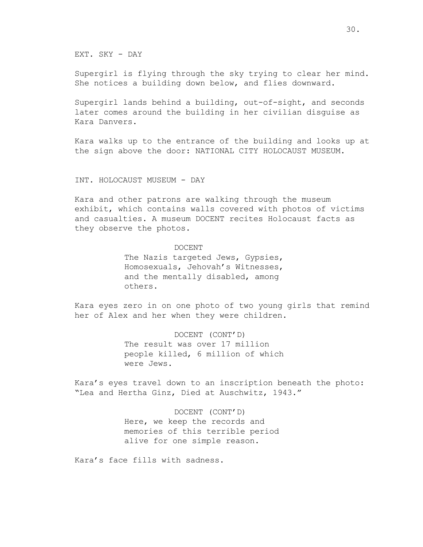EXT. SKY - DAY

Supergirl is flying through the sky trying to clear her mind. She notices a building down below, and flies downward.

Supergirl lands behind a building, out-of-sight, and seconds later comes around the building in her civilian disguise as Kara Danvers.

Kara walks up to the entrance of the building and looks up at the sign above the door: NATIONAL CITY HOLOCAUST MUSEUM.

INT. HOLOCAUST MUSEUM - DAY

Kara and other patrons are walking through the museum exhibit, which contains walls covered with photos of victims and casualties. A museum DOCENT recites Holocaust facts as they observe the photos.

#### DOCENT

The Nazis targeted Jews, Gypsies, Homosexuals, Jehovah's Witnesses, and the mentally disabled, among others.

Kara eyes zero in on one photo of two young girls that remind her of Alex and her when they were children.

> DOCENT (CONT'D) The result was over 17 million people killed, 6 million of which were Jews.

Kara's eyes travel down to an inscription beneath the photo: "Lea and Hertha Ginz, Died at Auschwitz, 1943."

> DOCENT (CONT'D) Here, we keep the records and memories of this terrible period alive for one simple reason.

Kara's face fills with sadness.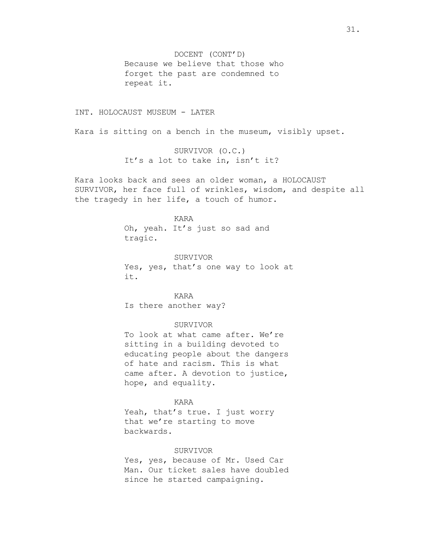DOCENT (CONT'D) Because we believe that those who forget the past are condemned to repeat it.

## INT. HOLOCAUST MUSEUM - LATER

Kara is sitting on a bench in the museum, visibly upset.

SURVIVOR (O.C.) It's a lot to take in, isn't it?

Kara looks back and sees an older woman, a HOLOCAUST SURVIVOR, her face full of wrinkles, wisdom, and despite all the tragedy in her life, a touch of humor.

> KARA Oh, yeah. It's just so sad and tragic.

SURVIVOR Yes, yes, that's one way to look at it.

KARA Is there another way?

#### SURVIVOR

To look at what came after. We're sitting in a building devoted to educating people about the dangers of hate and racism. This is what came after. A devotion to justice, hope, and equality.

# KARA

Yeah, that's true. I just worry that we're starting to move backwards.

#### SURVIVOR

Yes, yes, because of Mr. Used Car Man. Our ticket sales have doubled since he started campaigning.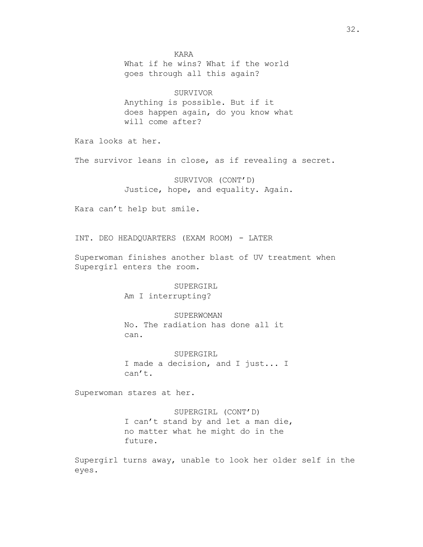KARA What if he wins? What if the world goes through all this again? SURVIVOR Anything is possible. But if it does happen again, do you know what will come after? Kara looks at her. The survivor leans in close, as if revealing a secret. SURVIVOR (CONT'D) Justice, hope, and equality. Again. Kara can't help but smile. INT. DEO HEADQUARTERS (EXAM ROOM) - LATER Superwoman finishes another blast of UV treatment when Supergirl enters the room. SUPERGIRL Am I interrupting? SUPERWOMAN No. The radiation has done all it can. SUPERGIRL I made a decision, and I just... I can't. Superwoman stares at her. SUPERGIRL (CONT'D) I can't stand by and let a man die, no matter what he might do in the future.

Supergirl turns away, unable to look her older self in the eyes.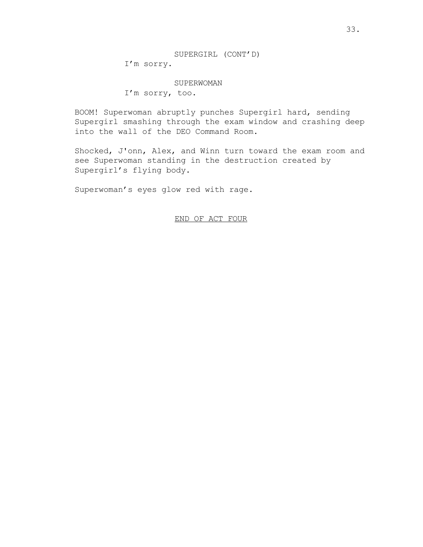#### SUPERWOMAN

I'm sorry, too.

BOOM! Superwoman abruptly punches Supergirl hard, sending Supergirl smashing through the exam window and crashing deep into the wall of the DEO Command Room.

Shocked, J'onn, Alex, and Winn turn toward the exam room and see Superwoman standing in the destruction created by Supergirl's flying body.

Superwoman's eyes glow red with rage.

END OF ACT FOUR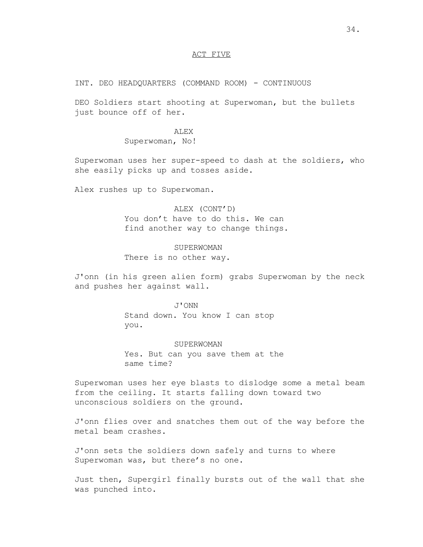# ACT FIVE

INT. DEO HEADQUARTERS (COMMAND ROOM) - CONTINUOUS

DEO Soldiers start shooting at Superwoman, but the bullets just bounce off of her.

## ALEX

Superwoman, No!

Superwoman uses her super-speed to dash at the soldiers, who she easily picks up and tosses aside.

Alex rushes up to Superwoman.

ALEX (CONT'D) You don't have to do this. We can find another way to change things.

SUPERWOMAN There is no other way.

J'onn (in his green alien form) grabs Superwoman by the neck and pushes her against wall.

> J'ONN Stand down. You know I can stop you.

SUPERWOMAN Yes. But can you save them at the same time?

Superwoman uses her eye blasts to dislodge some a metal beam from the ceiling. It starts falling down toward two unconscious soldiers on the ground.

J'onn flies over and snatches them out of the way before the metal beam crashes.

J'onn sets the soldiers down safely and turns to where Superwoman was, but there's no one.

Just then, Supergirl finally bursts out of the wall that she was punched into.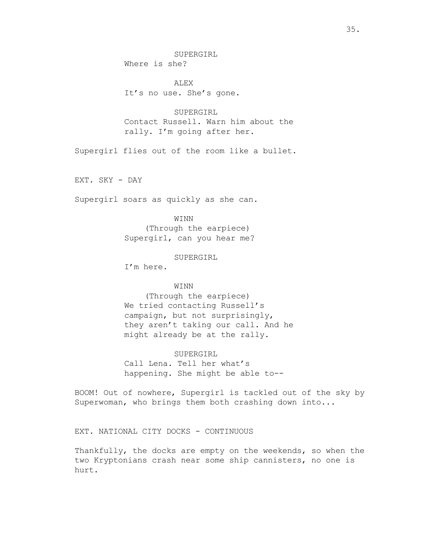SUPERGIRL Where is she?

ALEX It's no use. She's gone.

SUPERGIRL Contact Russell. Warn him about the rally. I'm going after her.

Supergirl flies out of the room like a bullet.

EXT. SKY - DAY

Supergirl soars as quickly as she can.

## WINN

(Through the earpiece) Supergirl, can you hear me?

## SUPERGIRL

I'm here.

## WINN

(Through the earpiece) We tried contacting Russell's campaign, but not surprisingly, they aren't taking our call. And he might already be at the rally.

## SUPERGIRL

Call Lena. Tell her what's happening. She might be able to--

BOOM! Out of nowhere, Supergirl is tackled out of the sky by Superwoman, who brings them both crashing down into...

EXT. NATIONAL CITY DOCKS - CONTINUOUS

Thankfully, the docks are empty on the weekends, so when the two Kryptonians crash near some ship cannisters, no one is hurt.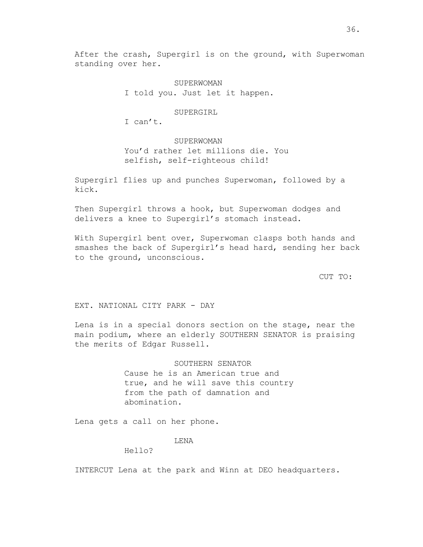After the crash, Supergirl is on the ground, with Superwoman standing over her.

> SUPERWOMAN I told you. Just let it happen.

> > SUPERGIRL

I can't.

**SUPERWOMAN** You'd rather let millions die. You selfish, self-righteous child!

Supergirl flies up and punches Superwoman, followed by a kick.

Then Supergirl throws a hook, but Superwoman dodges and delivers a knee to Supergirl's stomach instead.

With Supergirl bent over, Superwoman clasps both hands and smashes the back of Supergirl's head hard, sending her back to the ground, unconscious.

CUT TO:

EXT. NATIONAL CITY PARK - DAY

Lena is in a special donors section on the stage, near the main podium, where an elderly SOUTHERN SENATOR is praising the merits of Edgar Russell.

> SOUTHERN SENATOR Cause he is an American true and true, and he will save this country from the path of damnation and abomination.

Lena gets a call on her phone.

# LENA

Hello?

INTERCUT Lena at the park and Winn at DEO headquarters.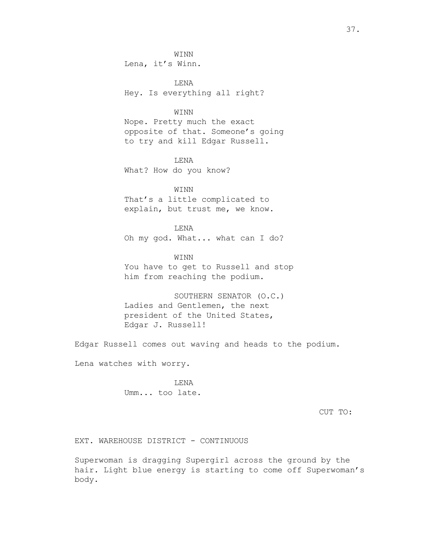WINN

Lena, it's Winn.

LENA Hey. Is everything all right?

## WINN

Nope. Pretty much the exact opposite of that. Someone's going to try and kill Edgar Russell.

LENA What? How do you know?

WINN That's a little complicated to explain, but trust me, we know.

LENA Oh my god. What... what can I do?

WINN You have to get to Russell and stop him from reaching the podium.

SOUTHERN SENATOR (O.C.) Ladies and Gentlemen, the next president of the United States, Edgar J. Russell!

Edgar Russell comes out waving and heads to the podium.

Lena watches with worry.

LENA Umm... too late.

CUT TO:

EXT. WAREHOUSE DISTRICT - CONTINUOUS

Superwoman is dragging Supergirl across the ground by the hair. Light blue energy is starting to come off Superwoman's body.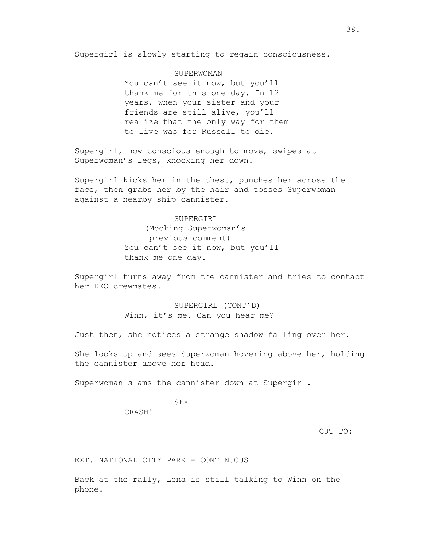Supergirl is slowly starting to regain consciousness.

## SUPERWOMAN

You can't see it now, but you'll thank me for this one day. In 12 years, when your sister and your friends are still alive, you'll realize that the only way for them to live was for Russell to die.

Supergirl, now conscious enough to move, swipes at Superwoman's legs, knocking her down.

Supergirl kicks her in the chest, punches her across the face, then grabs her by the hair and tosses Superwoman against a nearby ship cannister.

> SUPERGIRL (Mocking Superwoman's previous comment) You can't see it now, but you'll thank me one day.

Supergirl turns away from the cannister and tries to contact her DEO crewmates.

> SUPERGIRL (CONT'D) Winn, it's me. Can you hear me?

Just then, she notices a strange shadow falling over her.

She looks up and sees Superwoman hovering above her, holding the cannister above her head.

Superwoman slams the cannister down at Supergirl.

SFX

CRASH!

CUT TO:

EXT. NATIONAL CITY PARK - CONTINUOUS

Back at the rally, Lena is still talking to Winn on the phone.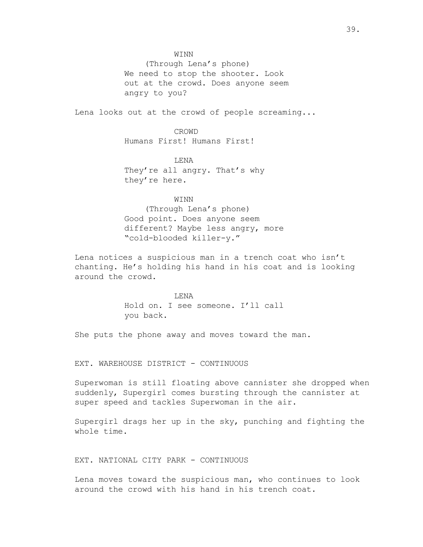(Through Lena's phone) We need to stop the shooter. Look out at the crowd. Does anyone seem angry to you?

Lena looks out at the crowd of people screaming...

CROWD Humans First! Humans First!

LENA They're all angry. That's why they're here.

## **WINN**

(Through Lena's phone) Good point. Does anyone seem different? Maybe less angry, more "cold-blooded killer-y."

Lena notices a suspicious man in a trench coat who isn't chanting. He's holding his hand in his coat and is looking around the crowd.

> LENA Hold on. I see someone. I'll call you back.

She puts the phone away and moves toward the man.

EXT. WAREHOUSE DISTRICT - CONTINUOUS

Superwoman is still floating above cannister she dropped when suddenly, Supergirl comes bursting through the cannister at super speed and tackles Superwoman in the air.

Supergirl drags her up in the sky, punching and fighting the whole time.

EXT. NATIONAL CITY PARK - CONTINUOUS

Lena moves toward the suspicious man, who continues to look around the crowd with his hand in his trench coat.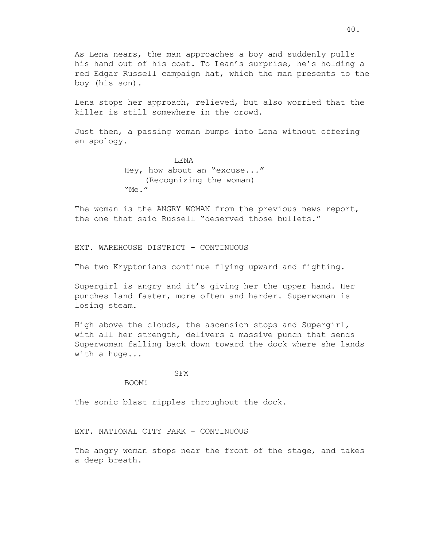As Lena nears, the man approaches a boy and suddenly pulls his hand out of his coat. To Lean's surprise, he's holding a red Edgar Russell campaign hat, which the man presents to the boy (his son).

Lena stops her approach, relieved, but also worried that the killer is still somewhere in the crowd.

Just then, a passing woman bumps into Lena without offering an apology.

> LENA Hey, how about an "excuse..." (Recognizing the woman) "Me."

The woman is the ANGRY WOMAN from the previous news report, the one that said Russell "deserved those bullets."

EXT. WAREHOUSE DISTRICT - CONTINUOUS

The two Kryptonians continue flying upward and fighting.

Supergirl is angry and it's giving her the upper hand. Her punches land faster, more often and harder. Superwoman is losing steam.

High above the clouds, the ascension stops and Supergirl, with all her strength, delivers a massive punch that sends Superwoman falling back down toward the dock where she lands with a huge...

#### SFX

BOOM!

The sonic blast ripples throughout the dock.

EXT. NATIONAL CITY PARK - CONTINUOUS

The angry woman stops near the front of the stage, and takes a deep breath.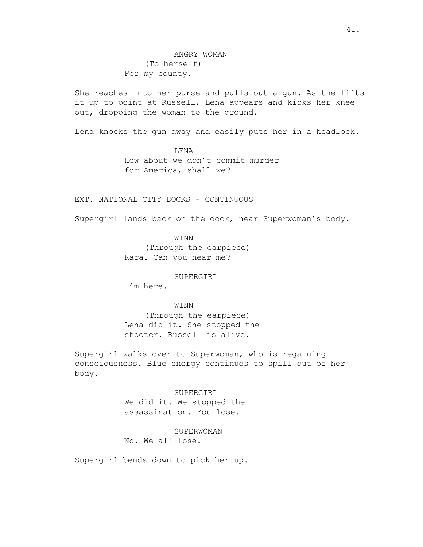She reaches into her purse and pulls out a gun. As the lifts it up to point at Russell, Lena appears and kicks her knee out, dropping the woman to the ground.

Lena knocks the gun away and easily puts her in a headlock.

LENA How about we don't commit murder for America, shall we?

## EXT. NATIONAL CITY DOCKS - CONTINUOUS

Supergirl lands back on the dock, near Superwoman's body.

WINN

(Through the earpiece) Kara. Can you hear me?

#### SUPERGIRL

I'm here.

#### WINN

(Through the earpiece) Lena did it. She stopped the shooter. Russell is alive.

Supergirl walks over to Superwoman, who is regaining consciousness. Blue energy continues to spill out of her body.

> SUPERGIRL We did it. We stopped the assassination. You lose.

> > **SUPERWOMAN**

No. We all lose.

Supergirl bends down to pick her up.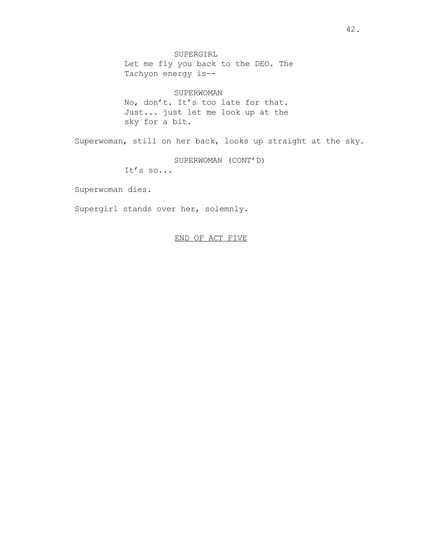SUPERGIRL Let me fly you back to the DEO. The Tachyon energy is--

## SUPERWOMAN

No, don't. It's too late for that. Just... just let me look up at the sky for a bit.

Superwoman, still on her back, looks up straight at the sky.

SUPERWOMAN (CONT'D)

It's so...

Superwoman dies.

Supergirl stands over her, solemnly.

# END OF ACT FIVE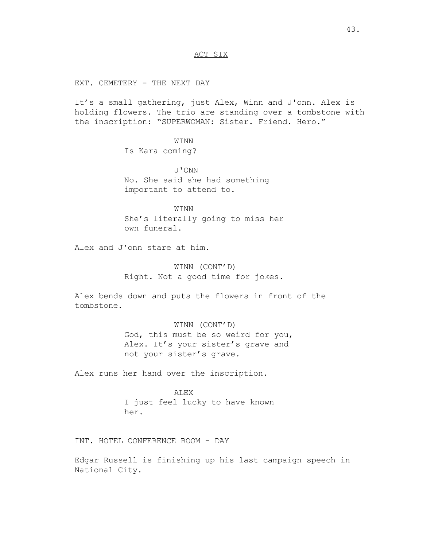# ACT SIX

EXT. CEMETERY - THE NEXT DAY

It's a small gathering, just Alex, Winn and J'onn. Alex is holding flowers. The trio are standing over a tombstone with the inscription: "SUPERWOMAN: Sister. Friend. Hero."

> WINN Is Kara coming?

J'ONN No. She said she had something important to attend to.

WINN She's literally going to miss her own funeral.

Alex and J'onn stare at him.

WINN (CONT'D) Right. Not a good time for jokes.

Alex bends down and puts the flowers in front of the tombstone.

> WINN (CONT'D) God, this must be so weird for you, Alex. It's your sister's grave and not your sister's grave.

Alex runs her hand over the inscription.

ALEX I just feel lucky to have known her.

INT. HOTEL CONFERENCE ROOM - DAY

Edgar Russell is finishing up his last campaign speech in National City.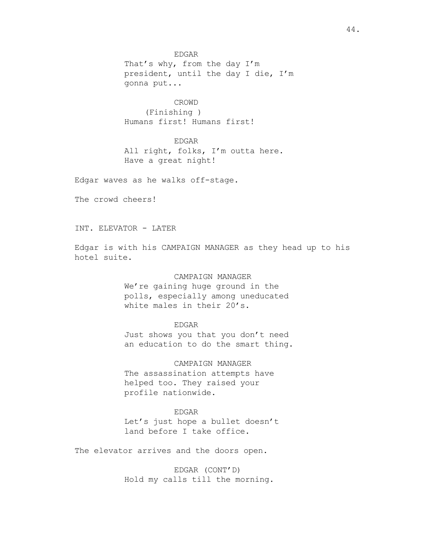EDGAR That's why, from the day I'm president, until the day I die, I'm gonna put...

CROWD (Finishing ) Humans first! Humans first!

EDGAR

All right, folks, I'm outta here. Have a great night!

Edgar waves as he walks off-stage.

The crowd cheers!

INT. ELEVATOR - LATER

Edgar is with his CAMPAIGN MANAGER as they head up to his hotel suite.

> CAMPAIGN MANAGER We're gaining huge ground in the polls, especially among uneducated white males in their 20's.

> > EDGAR

Just shows you that you don't need an education to do the smart thing.

CAMPAIGN MANAGER

The assassination attempts have helped too. They raised your profile nationwide.

EDGAR

Let's just hope a bullet doesn't land before I take office.

The elevator arrives and the doors open.

EDGAR (CONT'D) Hold my calls till the morning.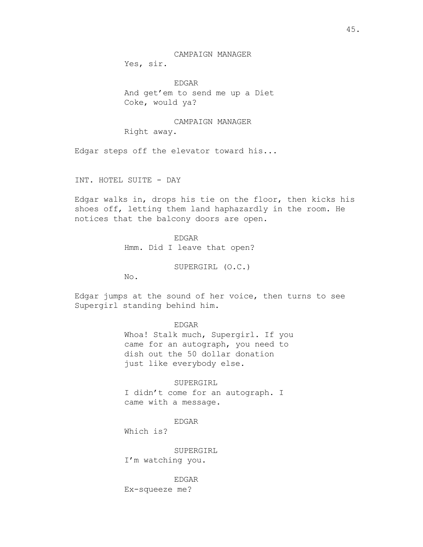CAMPAIGN MANAGER

Yes, sir.

EDGAR And get'em to send me up a Diet Coke, would ya?

CAMPAIGN MANAGER

Right away.

Edgar steps off the elevator toward his...

INT. HOTEL SUITE - DAY

Edgar walks in, drops his tie on the floor, then kicks his shoes off, letting them land haphazardly in the room. He notices that the balcony doors are open.

> EDGAR Hmm. Did I leave that open?

> > SUPERGIRL (O.C.)

No.

Edgar jumps at the sound of her voice, then turns to see Supergirl standing behind him.

EDGAR

Whoa! Stalk much, Supergirl. If you came for an autograph, you need to dish out the 50 dollar donation just like everybody else.

SUPERGIRL

I didn't come for an autograph. I came with a message.

EDGAR

Which is?

SUPERGIRL I'm watching you.

EDGAR Ex-squeeze me?